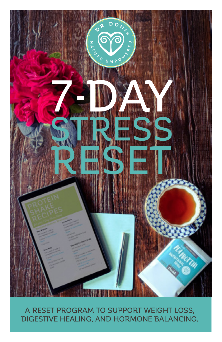

## A RESET PROGRAM TO SUPPORT WEIGHT LOSS, DIGESTIVE HEALING, AND HORMONE BALANCING.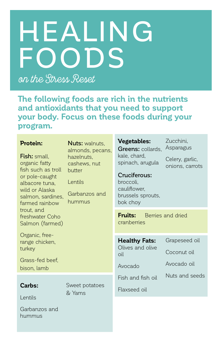# HEALING FOODS

on the Stress Reset

**The following foods are rich in the nutrients and antioxidants that you need to support your body. Focus on these foods during your program.**

#### **Protein:**

Fish: small, organic fatty fish such as troll or pole-caught albacore tuna, wild or Alaska salmon, sardines, farmed rainbow trout, and freshwater Coho Salmon (farmed)

Nuts: walnuts. almonds, pecans, hazelnuts, cashews, nut butter

Lentils

Garbanzos and hummus

Organic, freerange chicken, turkey

Grass-fed beef, bison, lamb

## **Carbs:**  Lentils

Sweet potatoes & Yams

Garbanzos and hummus

**Vegetables:**  Greens: collards. kale, chard, spinach, arugula

Zucchini, Asparagus

Celery, garlic, onions, carrots

Cruciferous: broccoli, cauliflower, brussels sprouts, bok choy

**Fruits:** Berries and dried cranberries

**Healthy Fats:** Olives and olive oil

Grapeseed oil

Coconut oil

Avocado

Avocado oil

Fish and fish oil

Nuts and seeds

Flaxseed oil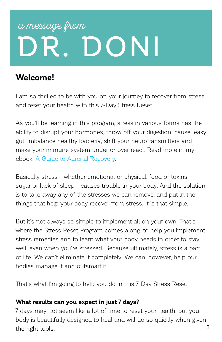## DR. DONI a message from

## **Welcome!**

I am so thrilled to be with you on your journey to recover from stress and reset your health with this 7-Day Stress Reset.

As you'll be learning in this program, stress in various forms has the ability to disrupt your hormones, throw off your digestion, cause leaky gut, imbalance healthy bacteria, shift your neurotransmitters and make your immune system under or over react. Read more in my ebook: [A Guide to Adrenal Recovery](http://doctordoni.com/pdfs/Dr-Doni-Wilson_A-Guide-to-Adrenal-Recovery.pdf).

Basically stress - whether emotional or physical, food or toxins, sugar or lack of sleep - causes trouble in your body. And the solution is to take away any of the stresses we can remove, and put in the things that help your body recover from stress. It is that simple.

But it's not always so simple to implement all on your own. That's where the Stress Reset Program comes along, to help you implement stress remedies and to learn what your body needs in order to stay well, even when you're stressed. Because ultimately, stress is a part of life. We can't eliminate it completely. We can, however, help our bodies manage it and outsmart it.

That's what I'm going to help you do in this 7-Day Stress Reset.

### **What results can you expect in just 7 days?**

3 7 days may not seem like a lot of time to reset your health, but your body is beautifully designed to heal and will do so quickly when given the right tools.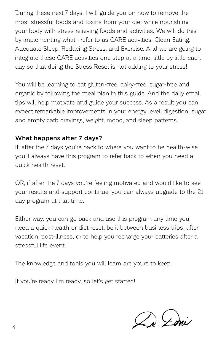During these next 7 days, I will guide you on how to remove the most stressful foods and toxins from your diet while nourishing your body with stress relieving foods and activities. We will do this by implementing what I refer to as CARE activities: Clean Eating, Adequate Sleep, Reducing Stress, and Exercise. And we are going to integrate these CARE activities one step at a time, little by little each day so that doing the Stress Reset is not adding to your stress!

You will be learning to eat gluten-free, dairy-free, sugar-free and organic by following the meal plan in this guide. And the daily email tips will help motivate and guide your success. As a result you can expect remarkable improvements in your energy level, digestion, sugar and empty carb cravings, weight, mood, and sleep patterns.

## What happens after 7 days?

If, after the 7 days you're back to where you want to be health-wise you'll always have this program to refer back to when you need a quick health reset.

OR, if after the 7 days you're feeling motivated and would like to see your results and support continue, you can always upgrade to the 21 day program at that time.

Either way, you can go back and use this program any time you need a quick health or diet reset, be it between business trips, after vacation, post-illness, or to help you recharge your batteries after a stressful life event.

The knowledge and tools you will learn are yours to keep.

If you're ready I'm ready, so let's get started!

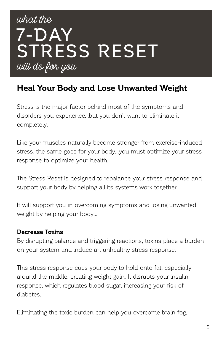## what the 7-DAY STRESS RESET will do for you

## **Heal Your Body and Lose Unwanted Weight**

Stress is the major factor behind most of the symptoms and disorders you experience…but you don't want to eliminate it completely.

Like your muscles naturally become stronger from exercise-induced stress, the same goes for your body…you must optimize your stress response to optimize your health.

The Stress Reset is designed to rebalance your stress response and support your body by helping all its systems work together.

It will support you in overcoming symptoms and losing unwanted weight by helping your body…

### **Decrease Toxins**

By disrupting balance and triggering reactions, toxins place a burden on your system and induce an unhealthy stress response.

This stress response cues your body to hold onto fat, especially around the middle, creating weight gain. It disrupts your insulin response, which regulates blood sugar, increasing your risk of diabetes.

Eliminating the toxic burden can help you overcome brain fog,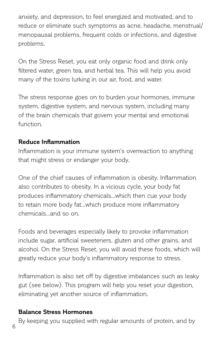anxiety, and depression, to feel energized and motivated, and to reduce or eliminate such symptoms as acne, headache, menstrual/ menopausal problems, frequent colds or infections, and digestive problems.

On the Stress Reset, you eat only organic food and drink only filtered water, green tea, and herbal tea. This will help you avoid many of the toxins lurking in our air, food, and water.

The stress response goes on to burden your hormones, immune system, digestive system, and nervous system, including many of the brain chemicals that govern your mental and emotional function.

## **Reduce Inflammation**

Inflammation is your immune system's overreaction to anything that might stress or endanger your body.

One of the chief causes of inflammation is obesity. Inflammation also contributes to obesity. In a vicious cycle, your body fat produces inflammatory chemicals…which then cue your body to retain more body fat…which produce more inflammatory chemicals…and so on.

Foods and beverages especially likely to provoke inflammation include sugar, artificial sweeteners, gluten and other grains, and alcohol. On the Stress Reset, you will avoid these foods, which will greatly reduce your body's inflammatory response to stress.

Inflammation is also set off by digestive imbalances such as leaky gut (see below). This program will help you reset your digestion, eliminating yet another source of inflammation.

## **Balance Stress Hormones**

By keeping you supplied with regular amounts of protein, and by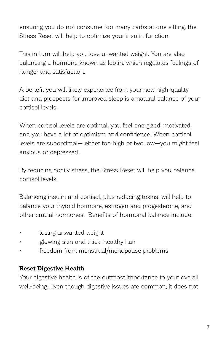ensuring you do not consume too many carbs at one sitting, the Stress Reset will help to optimize your insulin function.

This in turn will help you lose unwanted weight. You are also balancing a hormone known as leptin, which regulates feelings of hunger and satisfaction.

A benefit you will likely experience from your new high-quality diet and prospects for improved sleep is a natural balance of your cortisol levels.

When cortisol levels are optimal, you feel energized, motivated, and you have a lot of optimism and confidence. When cortisol levels are suboptimal— either too high or two low—you might feel anxious or depressed.

By reducing bodily stress, the Stress Reset will help you balance cortisol levels.

Balancing insulin and cortisol, plus reducing toxins, will help to balance your thyroid hormone, estrogen and progesterone, and other crucial hormones. Benefits of hormonal balance include:

- losing unwanted weight
- glowing skin and thick, healthy hair
- freedom from menstrual/menopause problems

## **Reset Digestive Health**

Your digestive health is of the outmost importance to your overall well-being. Even though digestive issues are common, it does not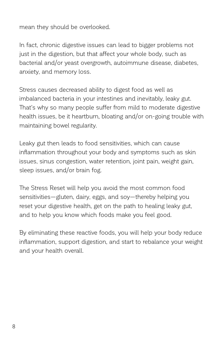mean they should be overlooked.

In fact, chronic digestive issues can lead to bigger problems not just in the digestion, but that affect your whole body, such as bacterial and/or yeast overgrowth, autoimmune disease, diabetes, anxiety, and memory loss.

Stress causes decreased ability to digest food as well as imbalanced bacteria in your intestines and inevitably, leaky gut. That's why so many people suffer from mild to moderate digestive health issues, be it heartburn, bloating and/or on-going trouble with maintaining bowel regularity.

Leaky gut then leads to food sensitivities, which can cause inflammation throughout your body and symptoms such as skin issues, sinus congestion, water retention, joint pain, weight gain, sleep issues, and/or brain fog.

The Stress Reset will help you avoid the most common food sensitivities—gluten, dairy, eggs, and soy—thereby helping you reset your digestive health, get on the path to healing leaky gut, and to help you know which foods make you feel good.

By eliminating these reactive foods, you will help your body reduce inflammation, support digestion, and start to rebalance your weight and your health overall.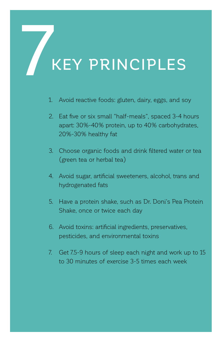## **KEY PRINCIPLES**

- 1. Avoid reactive foods: gluten, dairy, eggs, and soy
- 2. Eat five or six small "half-meals", spaced 3-4 hours apart: 30%-40% protein, up to 40% carbohydrates, 20%-30% healthy fat
- 3. Choose organic foods and drink filtered water or tea (green tea or herbal tea)
- 4. Avoid sugar, artificial sweeteners, alcohol, trans and hydrogenated fats
- 5. Have a protein shake, such as Dr. Doni's Pea Protein Shake, once or twice each day
- 6. Avoid toxins: artificial ingredients, preservatives, pesticides, and environmental toxins
- 7. Get 7.5-9 hours of sleep each night and work up to 15 to 30 minutes of exercise 3-5 times each week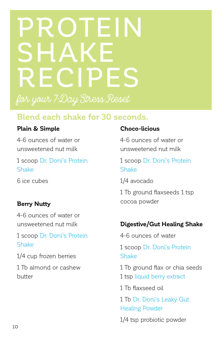## PROTEIN SHAKE RECIPES for your 7-Day Stress Reset

## **Blend each shake for 30 seconds.**

## **Plain & Simple**

4-6 ounces of water or unsweetened nut milk

1 scoop [Dr. Doni's Protein](https://www.drdonistore.com/Dr-Donis-Stress-Remedy-Program-Shake_p_733.html)  **[Shake](https://www.drdonistore.com/Dr-Donis-Stress-Remedy-Program-Shake_p_733.html)** 

6 ice cubes

## **Berry Nutty**

4-6 ounces of water or unsweetened nut milk

1 scoop [Dr. Doni's Protein](https://www.drdonistore.com/Dr-Donis-Stress-Remedy-Program-Shake_p_733.html)  [Shake](https://www.drdonistore.com/Dr-Donis-Stress-Remedy-Program-Shake_p_733.html)

1/4 cup frozen berries

1 Tb almond or cashew butter

## **Choco-licious**

4-6 ounces of water or unsweetened nut milk

1 scoop [Dr. Doni's Protein](https://www.drdonistore.com/Dr-Donis-Stress-Remedy-Program-Shake_p_733.html)  [Shake](https://www.drdonistore.com/Dr-Donis-Stress-Remedy-Program-Shake_p_733.html)

1/4 avocado

1 Tb ground flaxseeds 1 tsp cocoa powder

## **Digestive/Gut Healing Shake**

4-6 ounces of water 1 scoop [Dr. Doni's Protein](https://www.drdonistore.com/Dr-Donis-Stress-Remedy-Program-Shake_p_733.html)  [Shake](https://www.drdonistore.com/Dr-Donis-Stress-Remedy-Program-Shake_p_733.html)

- 1 Tb ground flax or chia seeds
- 1 tsp [liquid berry extract](https://www.drdonistore.com/Proberry-3-Liquid-8-oz_p_393.html)
- 1 Tb flaxseed oil
- 1 Tb [Dr. Doni's Leaky Gut](https://www.drdonistore.com/Dr-Donis-Leaky-Gut-Support-56-oz_p_681.html)  [Healing Powder](https://www.drdonistore.com/Dr-Donis-Leaky-Gut-Support-56-oz_p_681.html)
- 1/4 tsp probiotic powder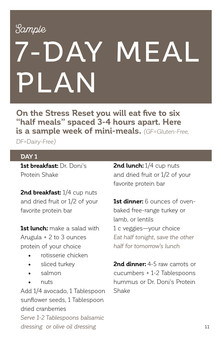## Sample Sample

# 7-DAY MEAL PLAN

**On the Stress Reset you will eat five to six "half meals" spaced 3-4 hours apart. Here is a sample week of mini-meals.** *(GF=Gluten-Free,* 

*DF=Dairy-Free)*

### **DAY 1**

**1st breakfast:** Dr. Doni's Protein Shake

2nd breakfast: 1/4 cup nuts and dried fruit or 1/2 of your favorite protein bar

**1st lunch:** make a salad with Arugula + 2 to 3 ounces protein of your choice

- rotisserie chicken
- sliced turkev
- salmon
- nuts

Add 1/4 avocado, 1 Tablespoon sunflower seeds, 1 Tablespoon dried cranberries *Serve 1-2 Tablespoons balsamic dressing or olive oil dressing*

**2nd lunch:** 1/4 cup nuts and dried fruit or 1/2 of your favorite protein bar

**1st dinner:** 6 ounces of ovenbaked free-range turkey or lamb, or lentils 1 c veggies—your choice *Eat half tonight, save the other half for tomorrow's lunch*

**2nd dinner:** 4-5 raw carrots or cucumbers + 1-2 Tablespoons hummus or Dr. Doni's Protein Shake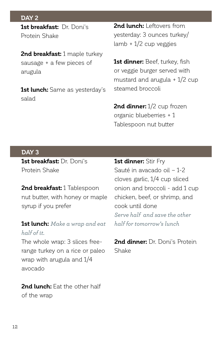#### **DAY 2**

**1st breakfast:** Dr. Doni's Protein Shake

**2nd breakfast:** 1 maple turkey sausage + a few pieces of arugula

**1st lunch:** Same as yesterday's salad

**2nd lunch:** Leftovers from yesterday: 3 ounces turkey/ lamb + 1/2 cup veggies

**1st dinner:** Beef, turkey, fish or veggie burger served with mustard and arugula + 1/2 cup steamed broccoli

2nd dinner:  $1/2$  cup frozen organic blueberries + 1 Tablespoon nut butter

#### **DAY 3**

**1st breakfast:** Dr. Doni's Protein Shake

**2nd breakfast:** 1 Tablespoon nut butter, with honey or maple syrup if you prefer

## **1st lunch:** *Make a wrap and eat half of it.*

The whole wrap: 3 slices freerange turkey on a rice or paleo wrap with arugula and 1/4 avocado

**2nd lunch:** Eat the other half of the wrap

**1st dinner:** Stir Fry Sauté in avacado oil – 1-2 cloves garlic, 1/4 cup sliced onion and broccoli - add 1 cup chicken, beef, or shrimp, and cook until done *Serve half and save the other half for tomorrow's lunch*

**2nd dinner:** Dr. Doni's Protein Shake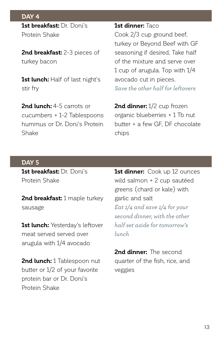**DAY 4 1st breakfast:** Dr. Doni's Protein Shake

**2nd breakfast:** 2-3 pieces of turkey bacon

**1st lunch:** Half of last night's stir fry

2nd lunch: 4-5 carrots or cucumbers + 1-2 Tablespoons hummus or Dr. Doni's Protein Shake

#### **1st dinner:** Taco

Cook 2/3 cup ground beef, turkey or Beyond Beef with GF seasoning if desired. Take half of the mixture and serve over 1 cup of arugula. Top with 1/4 avocado cut in pieces. *Save the other half for leftovers*

2nd dinner: 1/2 cup frozen organic blueberries + 1 Tb nut butter + a few GF, DF chocolate chips

#### **DAY 5**

**1st breakfast:** Dr. Doni's Protein Shake

**2nd breakfast:** 1 maple turkey sausage

**1st lunch:** Yesterday's leftover meat served served over arugula with 1/4 avocado

2nd lunch: 1 Tablespoon nut butter or 1/2 of your favorite protein bar or Dr. Doni's Protein Shake

**1st dinner:** Cook up 12 ounces wild salmon + 2 cup sautéed greens (chard or kale) with garlic and salt *Eat 1/4 and save 1/4 for your second dinner, with the other half set aside for tomorrow's lunch*

**2nd dinner:** The second quarter of the fish, rice, and veggies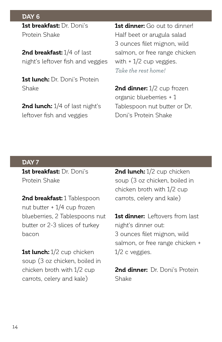**DAY 6 1st breakfast:** Dr. Doni's Protein Shake

**2nd breakfast:** 1/4 of last night's leftover fish and veggies

**1st lunch:** Dr. Doni's Protein Shake

**2nd lunch:** 1/4 of last night's leftover fish and veggies

**1st dinner:** Go out to dinner! Half beet or arugula salad 3 ounces filet mignon, wild salmon, or free range chicken with  $+1/2$  cup veggies. *Take the rest home!*

**2nd dinner:** 1/2 cup frozen organic blueberries + 1 Tablespoon nut butter or Dr. Doni's Protein Shake

#### **DAY 7**

**1st breakfast:** Dr. Doni's Protein Shake

**2nd breakfast:** 1 Tablespoon nut butter + 1/4 cup frozen blueberries, 2 Tablespoons nut butter or 2-3 slices of turkey bacon

**1st lunch:** 1/2 cup chicken soup (3 oz chicken, boiled in chicken broth with 1/2 cup carrots, celery and kale)

2nd lunch: 1/2 cup chicken soup (3 oz chicken, boiled in chicken broth with 1/2 cup carrots, celery and kale)

**1st dinner:** Leftovers from last night's dinner out: 3 ounces filet mignon, wild salmon, or free range chicken + 1/2 c veggies.

**2nd dinner:** Dr. Doni's Protein Shake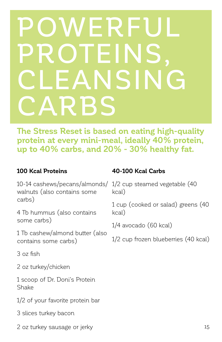## POWERFUL **ROTEINS** CLEANSING CARBS

**The Stress Reset is based on eating high-quality protein at every mini-meal, ideally 40% protein, up to 40% carbs, and 20% - 30% healthy fat.**

## **100 Kcal Proteins**

10-14 cashews/pecans/almonds/ 1/2 cup steamed vegetable (40 walnuts (also contains some carbs)

4 Tb hummus (also contains some carbs)

1 Tb cashew/almond butter (also contains some carbs)

3 oz fish

2 oz turkey/chicken

1 scoop of Dr. Doni's Protein Shake

1/2 of your favorite protein bar

3 slices turkey bacon

2 oz turkey sausage or jerky

## **40-100 Kcal Carbs**

kcal)

1 cup (cooked or salad) greens (40 kcal)

1/4 avocado (60 kcal)

1/2 cup frozen blueberries (40 kcal)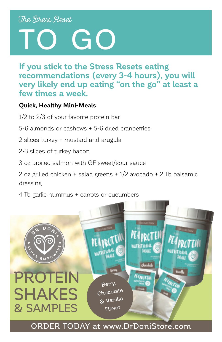## The Stress Reset

# TO GO

**If you stick to the Stress Resets eating recommendations (every 3-4 hours), you will very likely end up eating "on the go" at least a few times a week.**

## **Quick, Healthy Mini-Meals**

- 1/2 to 2/3 of your favorite protein bar
- 5-6 almonds or cashews + 5-6 dried cranberries
- 2 slices turkey + mustard and arugula
- 2-3 slices of turkey bacon
- 3 oz broiled salmon with GF sweet/sour sauce
- 2 oz grilled chicken + salad greens + 1/2 avocado + 2 Tb balsamic dressing
- 4 Tb garlic hummus + carrots or cucumbers

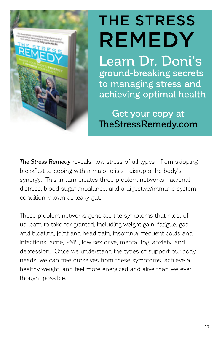

## THE STRESS REMEDY

Learn Dr. Doni's ground-breaking secrets to managing stress and achieving optimal health

Get your copy at [TheStressRemedy.com](http://TheStressRemedy.com)

*The Stress Remedy* reveals how stress of all types—from skipping breakfast to coping with a major crisis—disrupts the body's synergy. This in turn creates three problem networks—adrenal distress, blood sugar imbalance, and a digestive/immune system condition known as leaky gut.

These problem networks generate the symptoms that most of us learn to take for granted, including weight gain, fatigue, gas and bloating, joint and head pain, insomnia, frequent colds and infections, acne, PMS, low sex drive, mental fog, anxiety, and depression. Once we understand the types of support our body needs, we can free ourselves from these symptoms, achieve a healthy weight, and feel more energized and alive than we ever thought possible.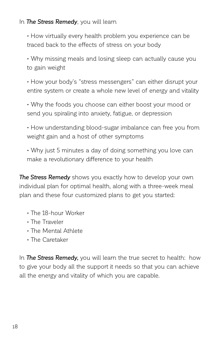### In *The Stress Remedy*, you will learn

• How virtually every health problem you experience can be traced back to the effects of stress on your body

• Why missing meals and losing sleep can actually cause you to gain weight

• How your body's "stress messengers" can either disrupt your entire system or create a whole new level of energy and vitality

• Why the foods you choose can either boost your mood or send you spiraling into anxiety, fatigue, or depression

• How understanding blood-sugar imbalance can free you from weight gain and a host of other symptoms

• Why just 5 minutes a day of doing something you love can make a revolutionary difference to your health

*The Stress Remedy* shows you exactly how to develop your own individual plan for optimal health, along with a three-week meal plan and these four customized plans to get you started:

- The 18-hour Worker
- The Traveler
- The Mental Athlete
- The Caretaker

In *The Stress Remedy,* you will learn the true secret to health: how to give your body all the support it needs so that you can achieve all the energy and vitality of which you are capable.